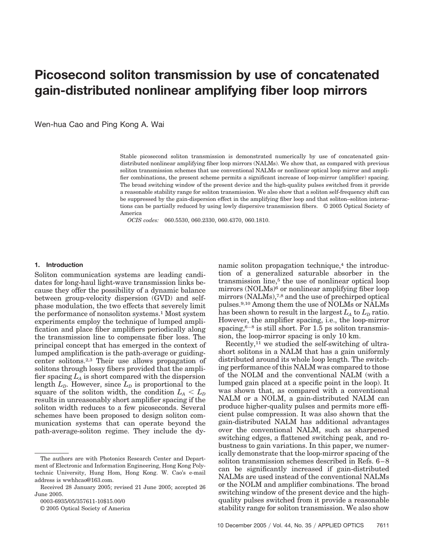# **Picosecond soliton transmission by use of concatenated gain-distributed nonlinear amplifying fiber loop mirrors**

Wen-hua Cao and Ping Kong A. Wai

Stable picosecond soliton transmission is demonstrated numerically by use of concatenated gaindistributed nonlinear amplifying fiber loop mirrors (NALMs). We show that, as compared with previous soliton transmission schemes that use conventional NALMs or nonlinear optical loop mirror and amplifier combinations, the present scheme permits a significant increase of loop-mirror (amplifier) spacing. The broad switching window of the present device and the high-quality pulses switched from it provide a reasonable stability range for soliton transmission. We also show that a soliton self-frequency shift can be suppressed by the gain-dispersion effect in the amplifying fiber loop and that soliton–soliton interactions can be partially reduced by using lowly dispersive transmission fibers. © 2005 Optical Society of America

*OCIS codes:* 060.5530, 060.2330, 060.4370, 060.1810.

#### **1. Introduction**

Soliton communication systems are leading candidates for long-haul light-wave transmission links because they offer the possibility of a dynamic balance between group-velocity dispersion (GVD) and selfphase modulation, the two effects that severely limit the performance of nonsoliton systems.1 Most system experiments employ the technique of lumped amplification and place fiber amplifiers periodically along the transmission line to compensate fiber loss. The principal concept that has emerged in the context of lumped amplification is the path-average or guidingcenter solitons.2,3 Their use allows propagation of solitons through lossy fibers provided that the amplifier spacing  $L_A$  is short compared with the dispersion length  $L<sub>D</sub>$ . However, since  $L<sub>D</sub>$  is proportional to the square of the soliton width, the condition  $L_A < L_D$ results in unreasonably short amplifier spacing if the soliton width reduces to a few picoseconds. Several schemes have been proposed to design soliton communication systems that can operate beyond the path-average-soliton regime. They include the dy-

0003-6935/05/357611-10\$15.00/0

© 2005 Optical Society of America

namic soliton propagation technique,<sup>4</sup> the introduction of a generalized saturable absorber in the transmission line,<sup>5</sup> the use of nonlinear optical loop mirrors (NOLMs)<sup>6</sup> or nonlinear amplifying fiber loop mirrors (NALMs),<sup>7,8</sup> and the use of prechirped optical pulses.9,10 Among them the use of NOLMs or NALMs has been shown to result in the largest  $L_A$  to  $L_D$  ratio. However, the amplifier spacing, i.e., the loop-mirror spacing, $6-8$  is still short. For 1.5 ps soliton transmission, the loop-mirror spacing is only 10 km.

Recently,11 we studied the self-switching of ultrashort solitons in a NALM that has a gain uniformly distributed around its whole loop length. The switching performance of this NALM was compared to those of the NOLM and the conventional NALM (with a lumped gain placed at a specific point in the loop). It was shown that, as compared with a conventional NALM or a NOLM, a gain-distributed NALM can produce higher-quality pulses and permits more efficient pulse compression. It was also shown that the gain-distributed NALM has additional advantages over the conventional NALM, such as sharpened switching edges, a flattened switching peak, and robustness to gain variations. In this paper, we numerically demonstrate that the loop-mirror spacing of the soliton transmission schemes described in Refs. 6-8 can be significantly increased if gain-distributed NALMs are used instead of the conventional NALMs or the NOLM and amplifier combinations. The broad switching window of the present device and the highquality pulses switched from it provide a reasonable stability range for soliton transmission. We also show

The authors are with Photonics Research Center and Department of Electronic and Information Engineering, Hong Kong Polytechnic University, Hung Hom, Hong Kong. W. Cao's e-mail address is wwhhcao@163.com.

Received 28 January 2005; revised 21 June 2005; accepted 26 June 2005.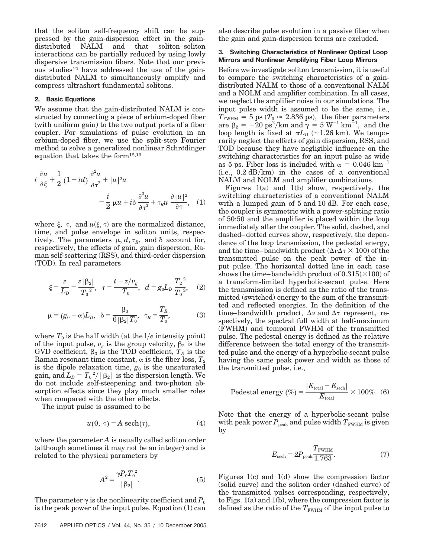that the soliton self-frequency shift can be suppressed by the gain-dispersion effect in the gaindistributed NALM and that soliton–soliton interactions can be partially reduced by using lowly dispersive transmission fibers. Note that our previous studies<sup>12</sup> have addressed the use of the gaindistributed NALM to simultaneously amplify and compress ultrashort fundamental solitons.

# **2. Basic Equations**

We assume that the gain-distributed NALM is constructed by connecting a piece of erbium-doped fiber (with uniform gain) to the two output ports of a fiber coupler. For simulations of pulse evolution in an erbium-doped fiber, we use the split-step Fourier method to solve a generalized nonlinear Schrödinger equation that takes the form12,13

$$
i \frac{\partial u}{\partial \xi} + \frac{1}{2} (1 - id) \frac{\partial^2 u}{\partial \tau^2} + |u|^2 u
$$
  
=  $\frac{i}{2} \mu u + i \delta \frac{\partial^3 u}{\partial \tau^3} + \tau_R u \frac{\partial |u|^2}{\partial \tau}$ , (1)

where  $\xi$ ,  $\tau$ , and  $u(\xi, \tau)$  are the normalized distance, time, and pulse envelope in soliton units, respectively. The parameters  $\mu$ ,  $d$ ,  $\tau_R$ , and  $\delta$  account for, respectively, the effects of gain, gain dispersion, Raman self-scattering (RSS), and third-order dispersion (TOD). In real parameters

$$
\xi = \frac{z}{L_D} = \frac{z|\beta_2|}{T_0^2}, \quad \tau = \frac{t - z/v_g}{T_0}, \quad d = g_0 L_D \frac{T_2^2}{T_0^2}, \quad (2)
$$

$$
\mu = (g_0 - \alpha)L_p, \ \delta = \frac{\beta_3}{6|\beta_2|T_0}, \ \tau_R = \frac{T_R}{T_0},
$$
\n(3)

where  $T_0$  is the half width (at the  $1/e$  intensity point) of the input pulse,  $v_g$  is the group velocity,  $\beta_2$  is the GVD coefficient,  $\beta_3$  is the TOD coefficient,  $T_R$  is the Raman resonant time constant,  $\alpha$  is the fiber loss,  $T_2$ is the dipole relaxation time,  $g_0$  is the unsaturated  $\text{gain, and } L_D = {T_0}^2 / \left\lfloor \beta_2 \right\rfloor \text{ is the dispersion length. We}$ do not include self-steepening and two-photon absorption effects since they play much smaller roles when compared with the other effects.

The input pulse is assumed to be

$$
u(0, \tau) = A \operatorname{sech}(\tau), \tag{4}
$$

where the parameter *A* is usually called soliton order (although sometimes it may not be an integer) and is related to the physical parameters by

$$
A^2 = \frac{\gamma P_0 T_0^2}{|\beta_2|}.
$$
 (5)

The parameter  $\gamma$  is the nonlinearity coefficient and  $P_0$ is the peak power of the input pulse. Equation (1) can also describe pulse evolution in a passive fiber when the gain and gain-dispersion terms are excluded.

# **3. Switching Characteristics of Nonlinear Optical Loop Mirrors and Nonlinear Amplifying Fiber Loop Mirrors**

Before we investigate soliton transmission, it is useful to compare the switching characteristics of a gaindistributed NALM to those of a conventional NALM and a NOLM and amplifier combination. In all cases, we neglect the amplifier noise in our simulations. The input pulse width is assumed to be the same, i.e.,  $T_{\text{FWHM}} = 5 \text{ ps } (T_0 \approx 2.836 \text{ ps})$ , the fiber parameters are  $\beta_2 = -20 \text{ ps}^2/\text{km}$  and  $\gamma = 5 \text{ W}^{-1} \text{ km}^{-1}$ , and the loop length is fixed at  $\pi L_D$  (~1.26 km). We temporarily neglect the effects of gain dispersion, RSS, and TOD because they have negligible influence on the switching characteristics for an input pulse as wide as 5 ps. Fiber loss is included with  $\alpha = 0.046$  km<sup>-1</sup>  $(i.e., 0.2 dB/km)$  in the cases of a conventional NALM and NOLM and amplifier combinations.

Figures 1(a) and 1(b) show, respectively, the switching characteristics of a conventional NALM with a lumped gain of 5 and 10 dB. For each case, the coupler is symmetric with a power-splitting ratio of 50:50 and the amplifier is placed within the loop immediately after the coupler. The solid, dashed, and dashed–dotted curves show, respectively, the dependence of the loop transmission, the pedestal energy, and the time-bandwidth product  $(\Delta \nu \Delta \tau \times 100)$  of the transmitted pulse on the peak power of the input pulse. The horizontal dotted line in each case shows the time-bandwidth product of  $0.315(\times 100)$  of a transform-limited hyperbolic-secant pulse. Here the transmission is defined as the ratio of the transmitted (switched) energy to the sum of the transmitted and reflected energies. In the definition of the time–bandwidth product,  $\Delta v$  and  $\Delta \tau$  represent, respectively, the spectral full width at half-maximum (FWHM) and temporal FWHM of the transmitted pulse. The pedestal energy is defined as the relative difference between the total energy of the transmitted pulse and the energy of a hyperbolic-secant pulse having the same peak power and width as those of the transmitted pulse, i.e.,

Pedestal energy (
$$
\%
$$
) =  $\frac{|E_{\text{total}} - E_{\text{sech}}|}{E_{\text{total}}} \times 100\%$ . (6)

Note that the energy of a hyperbolic-secant pulse with peak power  $P_{\text{peak}}$  and pulse width  $T_{\text{FWHM}}$  is given by

$$
E_{\rm sech} = 2P_{\rm peak} \frac{T_{\rm FWHM}}{1.763}.\tag{7}
$$

Figures 1(c) and 1(d) show the compression factor (solid curve) and the soliton order (dashed curve) of the transmitted pulses corresponding, respectively, to Figs. 1(a) and 1(b), where the compression factor is defined as the ratio of the  $T_{\text{FWHM}}$  of the input pulse to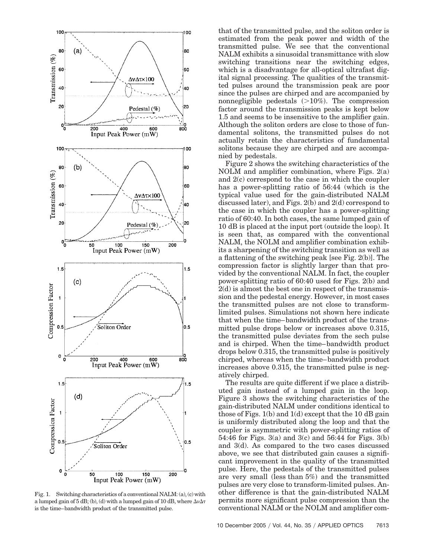

Fig. 1. Switching characteristics of a conventional NALM: (a), (c) with a lumped gain of 5 dB; (b), (d) with a lumped gain of 10 dB, where  $\Delta\nu\Delta\tau$ is the time–bandwidth product of the transmitted pulse.

that of the transmitted pulse, and the soliton order is estimated from the peak power and width of the transmitted pulse. We see that the conventional NALM exhibits a sinusoidal transmittance with slow switching transitions near the switching edges, which is a disadvantage for all-optical ultrafast digital signal processing. The qualities of the transmitted pulses around the transmission peak are poor since the pulses are chirped and are accompanied by nonnegligible pedestals (>10%). The compression factor around the transmission peaks is kept below 1.5 and seems to be insensitive to the amplifier gain. Although the soliton orders are close to those of fundamental solitons, the transmitted pulses do not actually retain the characteristics of fundamental solitons because they are chirped and are accompanied by pedestals.

Figure 2 shows the switching characteristics of the NOLM and amplifier combination, where Figs. 2(a) and 2(c) correspond to the case in which the coupler has a power-splitting ratio of 56:44 (which is the typical value used for the gain-distributed NALM discussed later), and Figs. 2(b) and 2(d) correspond to the case in which the coupler has a power-splitting ratio of 60:40. In both cases, the same lumped gain of 10 dB is placed at the input port (outside the loop). It is seen that, as compared with the conventional NALM, the NOLM and amplifier combination exhibits a sharpening of the switching transition as well as a flattening of the switching peak [see Fig. 2(b)]. The compression factor is slightly larger than that provided by the conventional NALM. In fact, the coupler power-splitting ratio of 60:40 used for Figs. 2(b) and 2(d) is almost the best one in respect of the transmission and the pedestal energy. However, in most cases the transmitted pulses are not close to transformlimited pulses. Simulations not shown here indicate that when the time– bandwidth product of the transmitted pulse drops below or increases above 0.315, the transmitted pulse deviates from the sech pulse and is chirped. When the time– bandwidth product drops below 0.315, the transmitted pulse is positively chirped, whereas when the time– bandwidth product increases above 0.315, the transmitted pulse is negatively chirped.

The results are quite different if we place a distributed gain instead of a lumped gain in the loop. Figure 3 shows the switching characteristics of the gain-distributed NALM under conditions identical to those of Figs.  $1(b)$  and  $1(d)$  except that the 10 dB gain is uniformly distributed along the loop and that the coupler is asymmetric with power-splitting ratios of 54:46 for Figs. 3(a) and 3(c) and 56:44 for Figs. 3(b) and 3(d). As compared to the two cases discussed above, we see that distributed gain causes a significant improvement in the quality of the transmitted pulse. Here, the pedestals of the transmitted pulses are very small (less than  $5\%$ ) and the transmitted pulses are very close to transform-limited pulses. Another difference is that the gain-distributed NALM permits more significant pulse compression than the conventional NALM or the NOLM and amplifier com-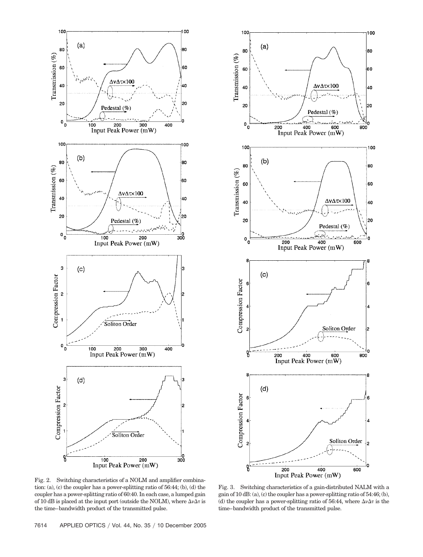



Fig. 2. Switching characteristics of a NOLM and amplifier combination: (a), (c) the coupler has a power-splitting ratio of 56:44; (b), (d) the coupler has a power-splitting ratio of 60:40. In each case, a lumped gain of 10 dB is placed at the input port (outside the NOLM), where  $\Delta\nu\Delta\tau$  is the time–bandwidth product of the transmitted pulse.

Fig. 3. Switching characteristics of a gain-distributed NALM with a gain of 10 dB: (a), (c) the coupler has a power-splitting ratio of 54:46; (b), (d) the coupler has a power-splitting ratio of 56:44, where  $\Delta \nu \Delta \tau$  is the time–bandwidth product of the transmitted pulse.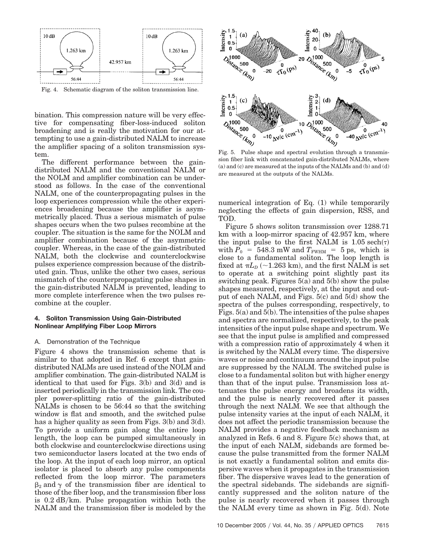

bination. This compression nature will be very effective for compensating fiber-loss-induced soliton broadening and is really the motivation for our attempting to use a gain-distributed NALM to increase the amplifier spacing of a soliton transmission system.

The different performance between the gaindistributed NALM and the conventional NALM or the NOLM and amplifier combination can be understood as follows. In the case of the conventional NALM, one of the counterpropagating pulses in the loop experiences compression while the other experiences broadening because the amplifier is asymmetrically placed. Thus a serious mismatch of pulse shapes occurs when the two pulses recombine at the coupler. The situation is the same for the NOLM and amplifier combination because of the asymmetric coupler. Whereas, in the case of the gain-distributed NALM, both the clockwise and counterclockwise pulses experience compression because of the distributed gain. Thus, unlike the other two cases, serious mismatch of the counterpropagating pulse shapes in the gain-distributed NALM is prevented, leading to more complete interference when the two pulses recombine at the coupler.

## **4. Soliton Transmission Using Gain-Distributed Nonlinear Amplifying Fiber Loop Mirrors**

## A. Demonstration of the Technique

Figure 4 shows the transmission scheme that is similar to that adopted in Ref. 6 except that gaindistributed NALMs are used instead of the NOLM and amplifier combination. The gain-distributed NALM is identical to that used for Figs. 3(b) and 3(d) and is inserted periodically in the transmission link. The coupler power-splitting ratio of the gain-distributed NALMs is chosen to be 56:44 so that the switching window is flat and smooth, and the switched pulse has a higher quality as seen from Figs. 3(b) and 3(d). To provide a uniform gain along the entire loop length, the loop can be pumped simultaneously in both clockwise and counterclockwise directions using two semiconductor lasers located at the two ends of the loop. At the input of each loop mirror, an optical isolator is placed to absorb any pulse components reflected from the loop mirror. The parameters  $\beta_2$  and  $\gamma$  of the transmission fiber are identical to those of the fiber loop, and the transmission fiber loss is  $0.2 \text{ dB/km}$ . Pulse propagation within both the NALM and the transmission fiber is modeled by the



sion fiber link with concatenated gain-distributed NALMs, where (a) and (c) are measured at the inputs of the NALMs and (b) and (d) are measured at the outputs of the NALMs.

numerical integration of Eq. (1) while temporarily neglecting the effects of gain dispersion, RSS, and TOD.

Figure 5 shows soliton transmission over 1288.71 km with a loop-mirror spacing of 42.957 km, where the input pulse to the first NALM is  $1.05 \text{ sech}(\tau)$ with  $P_0 = 548.3$  mW and  $T_{\text{FWHM}} = 5$  ps, which is close to a fundamental soliton. The loop length is fixed at  $\pi L_D$  (~1.263 km), and the first NALM is set to operate at a switching point slightly past its switching peak. Figures 5(a) and 5(b) show the pulse shapes measured, respectively, at the input and output of each NALM, and Figs. 5(c) and 5(d) show the spectra of the pulses corresponding, respectively, to Figs. 5(a) and 5(b). The intensities of the pulse shapes and spectra are normalized, respectively, to the peak intensities of the input pulse shape and spectrum. We see that the input pulse is amplified and compressed with a compression ratio of approximately 4 when it is switched by the NALM every time. The dispersive waves or noise and continuum around the input pulse are suppressed by the NALM. The switched pulse is close to a fundamental soliton but with higher energy than that of the input pulse. Transmission loss attenuates the pulse energy and broadens its width, and the pulse is nearly recovered after it passes through the next NALM. We see that although the pulse intensity varies at the input of each NALM, it does not affect the periodic transmission because the NALM provides a negative feedback mechanism as analyzed in Refs. 6 and 8. Figure 5(c) shows that, at the input of each NALM, sidebands are formed because the pulse transmitted from the former NALM is not exactly a fundamental soliton and emits dispersive waves when it propagates in the transmission fiber. The dispersive waves lead to the generation of the spectral sidebands. The sidebands are significantly suppressed and the soliton nature of the pulse is nearly recovered when it passes through the NALM every time as shown in Fig. 5(d). Note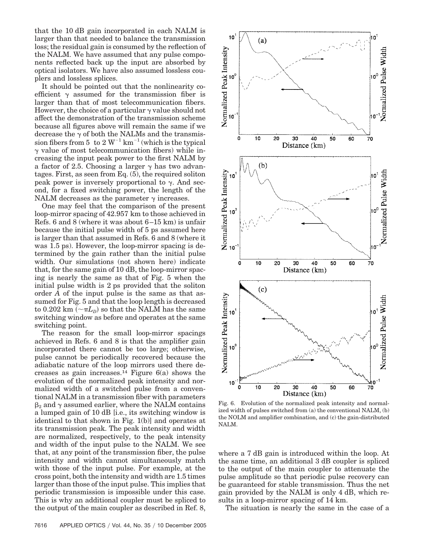that the 10 dB gain incorporated in each NALM is larger than that needed to balance the transmission loss; the residual gain is consumed by the reflection of the NALM. We have assumed that any pulse components reflected back up the input are absorbed by optical isolators. We have also assumed lossless couplers and lossless splices.

It should be pointed out that the nonlinearity coefficient  $\gamma$  assumed for the transmission fiber is larger than that of most telecommunication fibers. However, the choice of a particular  $\gamma$  value should not affect the demonstration of the transmission scheme because all figures above will remain the same if we decrease the  $\gamma$  of both the NALMs and the transmission fibers from 5 to 2  $W^{-1}$  km<sup>-1</sup> (which is the typical  $\gamma$  value of most telecommunication fibers) while increasing the input peak power to the first NALM by a factor of 2.5. Choosing a larger  $\gamma$  has two advantages. First, as seen from Eq. (5), the required soliton peak power is inversely proportional to  $\gamma$ . And second, for a fixed switching power, the length of the NALM decreases as the parameter  $\gamma$  increases.

One may feel that the comparison of the present loop-mirror spacing of 42.957 km to those achieved in Refs. 6 and 8 (where it was about  $6-15$  km) is unfair because the initial pulse width of 5 ps assumed here is larger than that assumed in Refs. 6 and 8 (where it was 1.5 ps). However, the loop-mirror spacing is determined by the gain rather than the initial pulse width. Our simulations (not shown here) indicate that, for the same gain of 10 dB, the loop-mirror spacing is nearly the same as that of Fig. 5 when the initial pulse width is 2 ps provided that the soliton order *A* of the input pulse is the same as that assumed for Fig. 5 and that the loop length is decreased to  $0.202\ \text{km}\ (-\pi L_{\scriptscriptstyle D})$  so that the NALM has the same switching window as before and operates at the same switching point.

The reason for the small loop-mirror spacings achieved in Refs. 6 and 8 is that the amplifier gain incorporated there cannot be too large; otherwise, pulse cannot be periodically recovered because the adiabatic nature of the loop mirrors used there decreases as gain increases.<sup>14</sup> Figure  $6(a)$  shows the evolution of the normalized peak intensity and normalized width of a switched pulse from a conventional NALM in a transmission fiber with parameters  $\beta_2$  and  $\gamma$  assumed earlier, where the NALM contains a lumped gain of 10 dB [i.e., its switching window is identical to that shown in Fig. 1(b)] and operates at its transmission peak. The peak intensity and width are normalized, respectively, to the peak intensity and width of the input pulse to the NALM. We see that, at any point of the transmission fiber, the pulse intensity and width cannot simultaneously match with those of the input pulse. For example, at the cross point, both the intensity and width are 1.5 times larger than those of the input pulse. This implies that periodic transmission is impossible under this case. This is why an additional coupler must be spliced to the output of the main coupler as described in Ref. 8,



Fig. 6. Evolution of the normalized peak intensity and normalized width of pulses switched from (a) the conventional NALM, (b) the NOLM and amplifier combination, and (c) the gain-distributed NALM.

where a 7 dB gain is introduced within the loop. At the same time, an additional 3 dB coupler is spliced to the output of the main coupler to attenuate the pulse amplitude so that periodic pulse recovery can be guaranteed for stable transmission. Thus the net gain provided by the NALM is only 4 dB, which results in a loop-mirror spacing of 14 km.

The situation is nearly the same in the case of a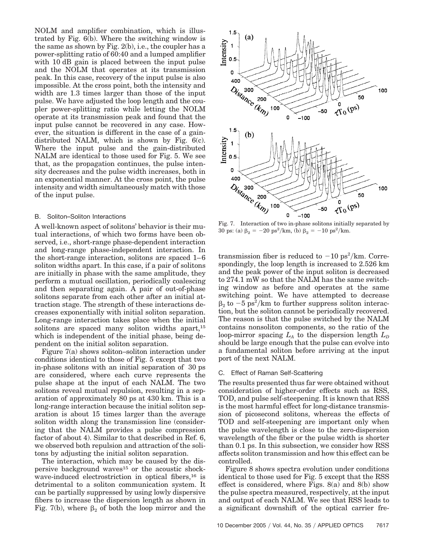NOLM and amplifier combination, which is illustrated by Fig. 6(b). Where the switching window is the same as shown by Fig. 2(b), i.e., the coupler has a power-splitting ratio of 60:40 and a lumped amplifier with 10 dB gain is placed between the input pulse and the NOLM that operates at its transmission peak. In this case, recovery of the input pulse is also impossible. At the cross point, both the intensity and width are 1.3 times larger than those of the input pulse. We have adjusted the loop length and the coupler power-splitting ratio while letting the NOLM operate at its transmission peak and found that the input pulse cannot be recovered in any case. However, the situation is different in the case of a gaindistributed NALM, which is shown by Fig. 6(c). Where the input pulse and the gain-distributed NALM are identical to those used for Fig. 5. We see that, as the propagation continues, the pulse intensity decreases and the pulse width increases, both in an exponential manner. At the cross point, the pulse intensity and width simultaneously match with those of the input pulse.

### B. Soliton–Soliton Interactions

A well-known aspect of solitons' behavior is their mutual interactions, of which two forms have been observed, i.e., short-range phase-dependent interaction and long-range phase-independent interaction. In the short-range interaction, solitons are spaced 1– 6 soliton widths apart. In this case, if a pair of solitons are initially in phase with the same amplitude, they perform a mutual oscillation, periodically coalescing and then separating again. A pair of out-of-phase solitons separate from each other after an initial attraction stage. The strength of these interactions decreases exponentially with initial soliton separation. Long-range interaction takes place when the initial solitons are spaced many soliton widths apart,<sup>15</sup> which is independent of the initial phase, being dependent on the initial soliton separation.

Figure 7(a) shows soliton–soliton interaction under conditions identical to those of Fig. 5 except that two in-phase solitons with an initial separation of 30 ps are considered, where each curve represents the pulse shape at the input of each NALM. The two solitons reveal mutual repulsion, resulting in a separation of approximately 80 ps at 430 km. This is a long-range interaction because the initial soliton separation is about 15 times larger than the average soliton width along the transmission line (considering that the NALM provides a pulse compression factor of about 4). Similar to that described in Ref. 6, we observed both repulsion and attraction of the solitons by adjusting the initial soliton separation.

The interaction, which may be caused by the dispersive background waves15 or the acoustic shockwave-induced electrostriction in optical fibers,<sup>16</sup> is detrimental to a soliton communication system. It can be partially suppressed by using lowly dispersive fibers to increase the dispersion length as shown in Fig. 7(b), where  $\beta_2$  of both the loop mirror and the



30 ps: (a)  $\beta_2 = -20 \text{ ps}^2/\text{km}$ , (b)  $\beta_2 = -10 \text{ ps}^2/\text{km}$ .

transmission fiber is reduced to  $-10 \text{ ps}^2/\text{km}$ . Correspondingly, the loop length is increased to 2.526 km and the peak power of the input soliton is decreased to 274.1 mW so that the NALM has the same switching window as before and operates at the same switching point. We have attempted to decrease  $\beta_2$  to  $-5$  ps<sup>2</sup>/km to further suppress soliton interaction, but the soliton cannot be periodically recovered. The reason is that the pulse switched by the NALM contains nonsoliton components, so the ratio of the loop-mirror spacing  $L_A$  to the dispersion length  $L_D$ should be large enough that the pulse can evolve into a fundamental soliton before arriving at the input port of the next NALM.

#### C. Effect of Raman Self-Scattering

The results presented thus far were obtained without consideration of higher-order effects such as RSS, TOD, and pulse self-steepening. It is known that RSS is the most harmful effect for long-distance transmission of picosecond solitons, whereas the effects of TOD and self-steepening are important only when the pulse wavelength is close to the zero-dispersion wavelength of the fiber or the pulse width is shorter than 0.1 ps. In this subsection, we consider how RSS affects soliton transmission and how this effect can be controlled.

Figure 8 shows spectra evolution under conditions identical to those used for Fig. 5 except that the RSS effect is considered, where Figs. 8(a) and 8(b) show the pulse spectra measured, respectively, at the input and output of each NALM. We see that RSS leads to a significant downshift of the optical carrier fre-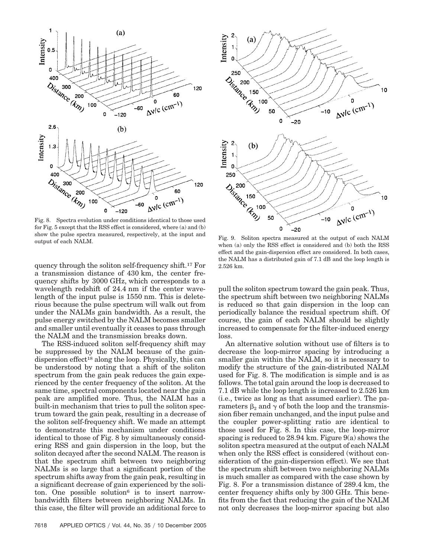

Fig. 8. Spectra evolution under conditions identical to those used for Fig. 5 except that the RSS effect is considered, where (a) and (b) show the pulse spectra measured, respectively, at the input and output of each NALM.<br>
Fig. 9. Soliton spectra measured at the output of each NALM output of each NALM

quency through the soliton self-frequency shift.17 For a transmission distance of 430 km, the center frequency shifts by 3000 GHz, which corresponds to a wavelength redshift of 24.4 nm if the center wavelength of the input pulse is 1550 nm. This is deleterious because the pulse spectrum will walk out from under the NALMs gain bandwidth. As a result, the pulse energy switched by the NALM becomes smaller and smaller until eventually it ceases to pass through the NALM and the transmission breaks down.

The RSS-induced soliton self-frequency shift may be suppressed by the NALM because of the gaindispersion effect<sup>18</sup> along the loop. Physically, this can be understood by noting that a shift of the soliton spectrum from the gain peak reduces the gain experienced by the center frequency of the soliton. At the same time, spectral components located near the gain peak are amplified more. Thus, the NALM has a built-in mechanism that tries to pull the soliton spectrum toward the gain peak, resulting in a decrease of the soliton self-frequency shift. We made an attempt to demonstrate this mechanism under conditions identical to those of Fig. 8 by simultaneously considering RSS and gain dispersion in the loop, but the soliton decayed after the second NALM. The reason is that the spectrum shift between two neighboring NALMs is so large that a significant portion of the spectrum shifts away from the gain peak, resulting in a significant decrease of gain experienced by the soliton. One possible solution<sup>6</sup> is to insert narrowbandwidth filters between neighboring NALMs. In this case, the filter will provide an additional force to



when (a) only the RSS effect is considered and (b) both the RSS effect and the gain-dispersion effect are considered. In both cases, the NALM has a distributed gain of 7.1 dB and the loop length is 2.526 km.

pull the soliton spectrum toward the gain peak. Thus, the spectrum shift between two neighboring NALMs is reduced so that gain dispersion in the loop can periodically balance the residual spectrum shift. Of course, the gain of each NALM should be slightly increased to compensate for the filter-induced energy loss.

An alternative solution without use of filters is to decrease the loop-mirror spacing by introducing a smaller gain within the NALM, so it is necessary to modify the structure of the gain-distributed NALM used for Fig. 8. The modification is simple and is as follows. The total gain around the loop is decreased to 7.1 dB while the loop length is increased to 2.526 km (i.e., twice as long as that assumed earlier). The parameters  $\beta_2$  and  $\gamma$  of both the loop and the transmission fiber remain unchanged, and the input pulse and the coupler power-splitting ratio are identical to those used for Fig. 8. In this case, the loop-mirror spacing is reduced to 28.94 km. Figure 9(a) shows the soliton spectra measured at the output of each NALM when only the RSS effect is considered (without consideration of the gain-dispersion effect). We see that the spectrum shift between two neighboring NALMs is much smaller as compared with the case shown by Fig. 8. For a transmission distance of 289.4 km, the center frequency shifts only by 300 GHz. This benefits from the fact that reducing the gain of the NALM not only decreases the loop-mirror spacing but also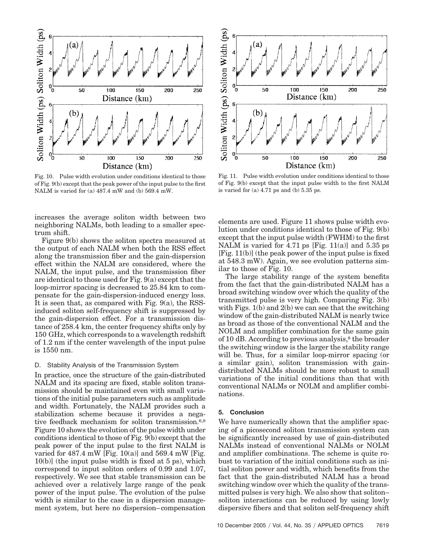

Fig. 10. Pulse width evolution under conditions identical to those of Fig. 9(b) except that the peak power of the input pulse to the first NALM is varied for (a) 487.4 mW and (b) 569.4 mW.

increases the average soliton width between two neighboring NALMs, both leading to a smaller spectrum shift.

Figure 9(b) shows the soliton spectra measured at the output of each NALM when both the RSS effect along the transmission fiber and the gain-dispersion effect within the NALM are considered, where the NALM, the input pulse, and the transmission fiber are identical to those used for Fig. 9(a) except that the loop-mirror spacing is decreased to 25.84 km to compensate for the gain-dispersion-induced energy loss. It is seen that, as compared with Fig. 9(a), the RSSinduced soliton self-frequency shift is suppressed by the gain-dispersion effect. For a transmission distance of 258.4 km, the center frequency shifts only by 150 GHz, which corresponds to a wavelength redshift of 1.2 nm if the center wavelength of the input pulse is 1550 nm.

#### D. Stability Analysis of the Transmission System

In practice, once the structure of the gain-distributed NALM and its spacing are fixed, stable soliton transmission should be maintained even with small variations of the initial pulse parameters such as amplitude and width. Fortunately, the NALM provides such a stabilization scheme because it provides a negative feedback mechanism for soliton transmission.6,8 Figure 10 shows the evolution of the pulse width under conditions identical to those of Fig. 9(b) except that the peak power of the input pulse to the first NALM is varied for  $487.4$  mW [Fig.  $10(a)$ ] and  $569.4$  mW [Fig. 10(b)] (the input pulse width is fixed at 5 ps), which correspond to input soliton orders of 0.99 and 1.07, respectively. We see that stable transmission can be achieved over a relatively large range of the peak power of the input pulse. The evolution of the pulse width is similar to the case in a dispersion management system, but here no dispersion– compensation



Fig. 11. Pulse width evolution under conditions identical to those of Fig. 9(b) except that the input pulse width to the first NALM is varied for (a) 4.71 ps and (b) 5.35 ps.

elements are used. Figure 11 shows pulse width evolution under conditions identical to those of Fig. 9(b) except that the input pulse width (FWHM) to the first NALM is varied for 4.71 ps [Fig. 11(a)] and 5.35 ps [Fig. 11(b)] (the peak power of the input pulse is fixed at 548.3 mW). Again, we see evolution patterns similar to those of Fig. 10.

The large stability range of the system benefits from the fact that the gain-distributed NALM has a broad switching window over which the quality of the transmitted pulse is very high. Comparing Fig. 3(b) with Figs. 1(b) and 2(b) we can see that the switching window of the gain-distributed NALM is nearly twice as broad as those of the conventional NALM and the NOLM and amplifier combination for the same gain of 10 dB. According to previous analysis, $8$  the broader the switching window is the larger the stability range will be. Thus, for a similar loop-mirror spacing (or a similar gain), soliton transmission with gaindistributed NALMs should be more robust to small variations of the initial conditions than that with conventional NALMs or NOLM and amplifier combinations.

## **5. Conclusion**

We have numerically shown that the amplifier spacing of a picosecond soliton transmission system can be significantly increased by use of gain-distributed NALMs instead of conventional NALMs or NOLM and amplifier combinations. The scheme is quite robust to variation of the initial conditions such as initial soliton power and width, which benefits from the fact that the gain-distributed NALM has a broad switching window over which the quality of the transmitted pulses is very high. We also show that soliton– soliton interactions can be reduced by using lowly dispersive fibers and that soliton self-frequency shift